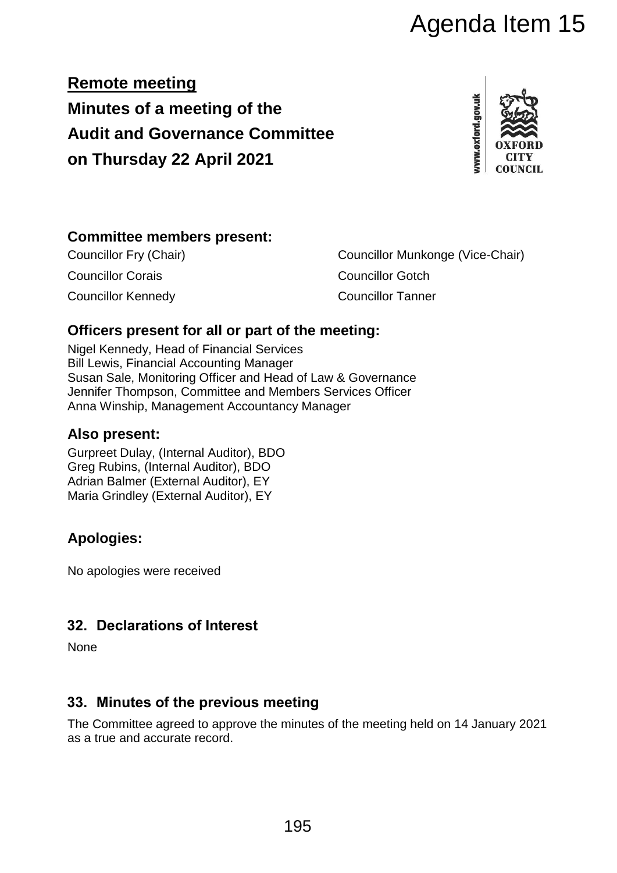**Remote meeting Minutes of a meeting of the Audit and Governance Committee on Thursday 22 April 2021**



## **Committee members present:**

Councillor Corais Councillor Gotch Councillor Kennedy Councillor Tanner

Councillor Fry (Chair) Councillor Munkonge (Vice-Chair) Agenda Item 15<br>
Inittee<br>
The street of the metring:<br>
Councillor Munkonge (Vice-Chair)<br>
Councillor Tanner<br>
Councillor Tanner<br>
ouncillor Tanner<br>
ouncillor Tanner<br>
ouncillor Tanner<br>
ouncillor Tanner<br>
ouncillor Tanner<br>
ouncill

## **Officers present for all or part of the meeting:**

Nigel Kennedy, Head of Financial Services Bill Lewis, Financial Accounting Manager Susan Sale, Monitoring Officer and Head of Law & Governance Jennifer Thompson, Committee and Members Services Officer Anna Winship, Management Accountancy Manager

## **Also present:**

Gurpreet Dulay, (Internal Auditor), BDO Greg Rubins, (Internal Auditor), BDO Adrian Balmer (External Auditor), EY Maria Grindley (External Auditor), EY

# **Apologies:**

No apologies were received

## **32. Declarations of Interest**

None

## **33. Minutes of the previous meeting**

The Committee agreed to approve the minutes of the meeting held on 14 January 2021 as a true and accurate record.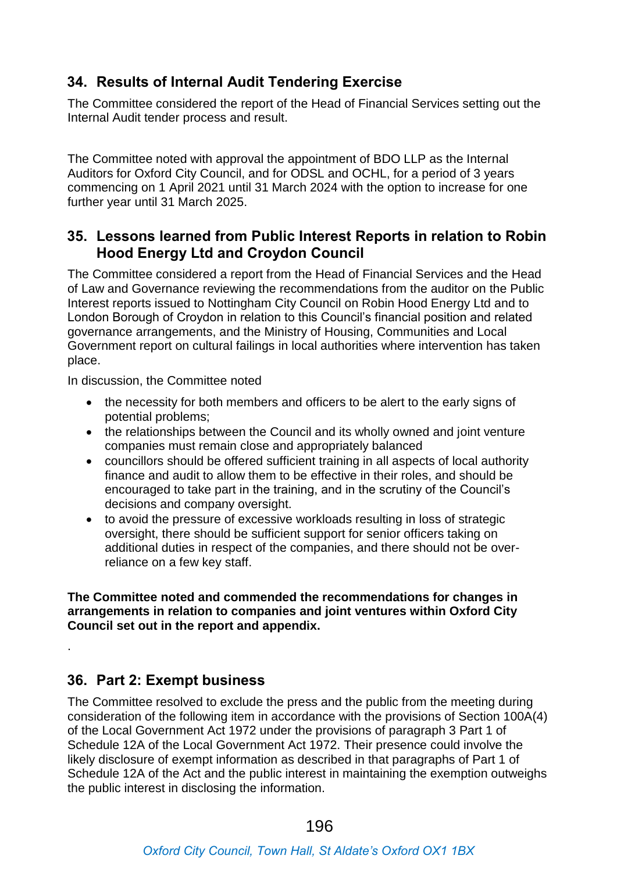## **34. Results of Internal Audit Tendering Exercise**

The Committee considered the report of the Head of Financial Services setting out the Internal Audit tender process and result.

The Committee noted with approval the appointment of BDO LLP as the Internal Auditors for Oxford City Council, and for ODSL and OCHL, for a period of 3 years commencing on 1 April 2021 until 31 March 2024 with the option to increase for one further year until 31 March 2025.

## **35. Lessons learned from Public Interest Reports in relation to Robin Hood Energy Ltd and Croydon Council**

The Committee considered a report from the Head of Financial Services and the Head of Law and Governance reviewing the recommendations from the auditor on the Public Interest reports issued to Nottingham City Council on Robin Hood Energy Ltd and to London Borough of Croydon in relation to this Council's financial position and related governance arrangements, and the Ministry of Housing, Communities and Local Government report on cultural failings in local authorities where intervention has taken place.

In discussion, the Committee noted

- the necessity for both members and officers to be alert to the early signs of potential problems;
- the relationships between the Council and its wholly owned and joint venture companies must remain close and appropriately balanced
- councillors should be offered sufficient training in all aspects of local authority finance and audit to allow them to be effective in their roles, and should be encouraged to take part in the training, and in the scrutiny of the Council's decisions and company oversight.
- to avoid the pressure of excessive workloads resulting in loss of strategic oversight, there should be sufficient support for senior officers taking on additional duties in respect of the companies, and there should not be overreliance on a few key staff.

**The Committee noted and commended the recommendations for changes in arrangements in relation to companies and joint ventures within Oxford City Council set out in the report and appendix.**

## **36. Part 2: Exempt business**

.

The Committee resolved to exclude the press and the public from the meeting during consideration of the following item in accordance with the provisions of Section 100A(4) of the Local Government Act 1972 under the provisions of paragraph 3 Part 1 of Schedule 12A of the Local Government Act 1972. Their presence could involve the likely disclosure of exempt information as described in that paragraphs of Part 1 of Schedule 12A of the Act and the public interest in maintaining the exemption outweighs the public interest in disclosing the information.

### *Oxford City Council, Town Hall, St Aldate's Oxford OX1 1BX*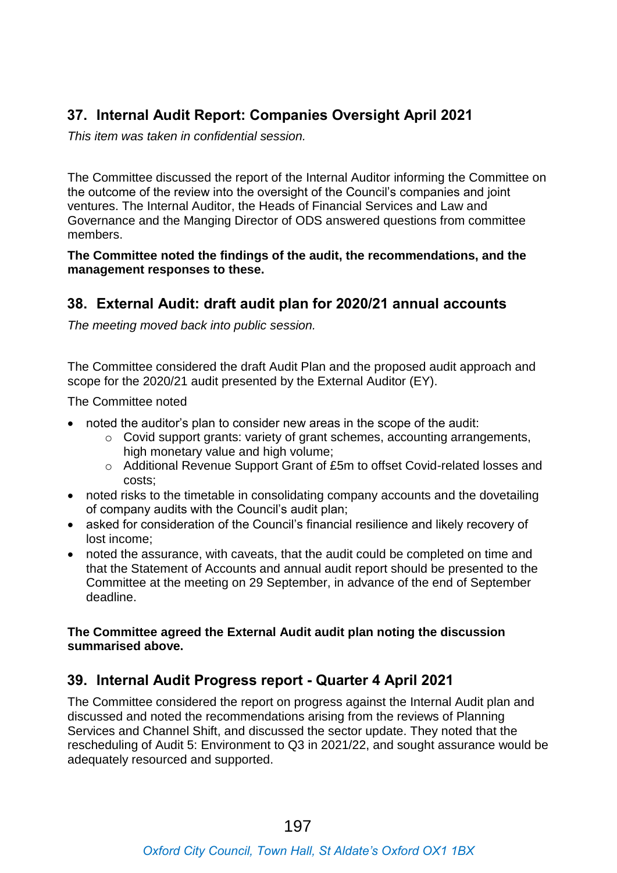## **37. Internal Audit Report: Companies Oversight April 2021**

*This item was taken in confidential session.*

The Committee discussed the report of the Internal Auditor informing the Committee on the outcome of the review into the oversight of the Council's companies and joint ventures. The Internal Auditor, the Heads of Financial Services and Law and Governance and the Manging Director of ODS answered questions from committee members.

**The Committee noted the findings of the audit, the recommendations, and the management responses to these.**

## **38. External Audit: draft audit plan for 2020/21 annual accounts**

*The meeting moved back into public session.*

The Committee considered the draft Audit Plan and the proposed audit approach and scope for the 2020/21 audit presented by the External Auditor (EY).

The Committee noted

- noted the auditor's plan to consider new areas in the scope of the audit:
	- o Covid support grants: variety of grant schemes, accounting arrangements, high monetary value and high volume;
	- o Additional Revenue Support Grant of £5m to offset Covid-related losses and costs;
- noted risks to the timetable in consolidating company accounts and the dovetailing of company audits with the Council's audit plan;
- asked for consideration of the Council's financial resilience and likely recovery of lost income;
- noted the assurance, with caveats, that the audit could be completed on time and that the Statement of Accounts and annual audit report should be presented to the Committee at the meeting on 29 September, in advance of the end of September deadline.

#### **The Committee agreed the External Audit audit plan noting the discussion summarised above.**

## **39. Internal Audit Progress report - Quarter 4 April 2021**

The Committee considered the report on progress against the Internal Audit plan and discussed and noted the recommendations arising from the reviews of Planning Services and Channel Shift, and discussed the sector update. They noted that the rescheduling of Audit 5: Environment to Q3 in 2021/22, and sought assurance would be adequately resourced and supported.